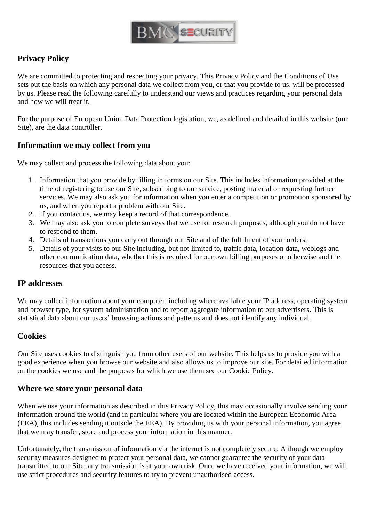

## **Privacy Policy**

We are committed to protecting and respecting your privacy. This Privacy Policy and the [Conditions of Use](http://www.esslondon.co.uk/conditions-use/)  sets out the basis on which any personal data we collect from you, or that you provide to us, will be processed by us. Please read the following carefully to understand our views and practices regarding your personal data and how we will treat it.

For the purpose of European Union Data Protection legislation, we, as defined and detailed in this website (our Site), are the data controller.

#### **Information we may collect from you**

We may collect and process the following data about you:

- 1. Information that you provide by filling in forms on our Site. This includes information provided at the time of registering to use our Site, subscribing to our service, posting material or requesting further services. We may also ask you for information when you enter a competition or promotion sponsored by us, and when you report a problem with our Site.
- 2. If you contact us, we may keep a record of that correspondence.
- 3. We may also ask you to complete surveys that we use for research purposes, although you do not have to respond to them.
- 4. Details of transactions you carry out through our Site and of the fulfilment of your orders.
- 5. Details of your visits to our Site including, but not limited to, traffic data, location data, weblogs and other communication data, whether this is required for our own billing purposes or otherwise and the resources that you access.

## **IP addresses**

We may collect information about your computer, including where available your IP address, operating system and browser type, for system administration and to report aggregate information to our advertisers. This is statistical data about our users' browsing actions and patterns and does not identify any individual.

## **Cookies**

Our Site uses cookies to distinguish you from other users of our website. This helps us to provide you with a good experience when you browse our website and also allows us to improve our site. For detailed information on the cookies we use and the purposes for which we use them see our Cookie Policy.

#### **Where we store your personal data**

When we use your information as described in this Privacy Policy, this may occasionally involve sending your information around the world (and in particular where you are located within the European Economic Area (EEA), this includes sending it outside the EEA). By providing us with your personal information, you agree that we may transfer, store and process your information in this manner.

Unfortunately, the transmission of information via the internet is not completely secure. Although we employ security measures designed to protect your personal data, we cannot guarantee the security of your data transmitted to our Site; any transmission is at your own risk. Once we have received your information, we will use strict procedures and security features to try to prevent unauthorised access.